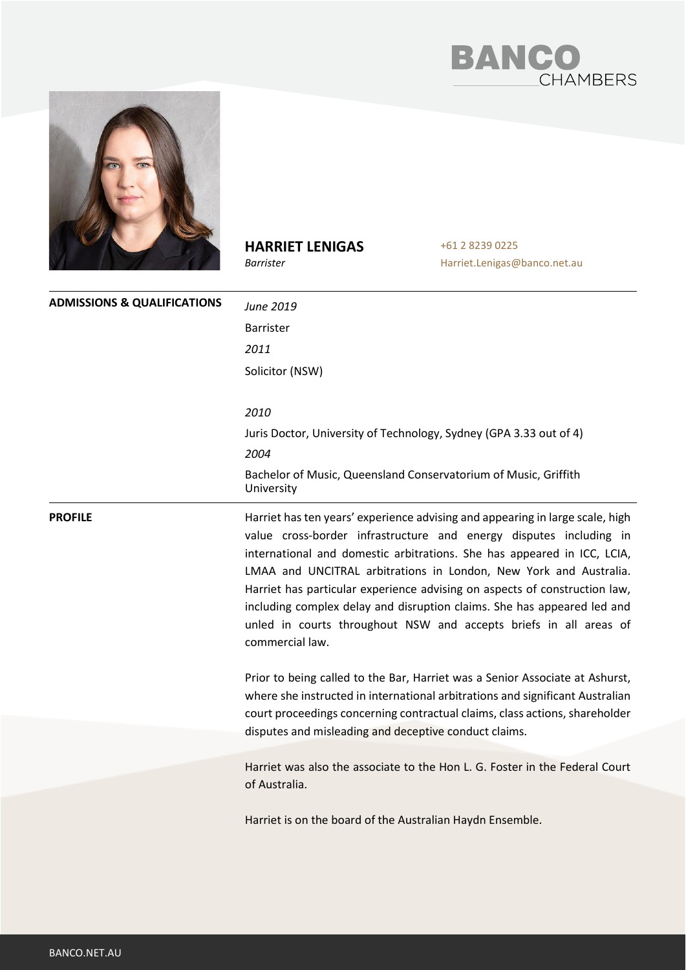



# **HARRIET LENIGAS**

*Barrister*

**ADMISSIONS & QUALIFICATIONS** *June 2019* Barrister *2011* Solicitor (NSW) *2010* Juris Doctor, University of Technology, Sydney (GPA 3.33 out of 4) *2004* Bachelor of Music, Queensland Conservatorium of Music, Griffith University

+61 2 8239 0225

Harriet.Lenigas@banco.net.au

**PROFILE Harriet has ten years' experience advising and appearing in large scale, high PROFILE** value cross-border infrastructure and energy disputes including in international and domestic arbitrations. She has appeared in ICC, LCIA, LMAA and UNCITRAL arbitrations in London, New York and Australia. Harriet has particular experience advising on aspects of construction law, including complex delay and disruption claims. She has appeared led and unled in courts throughout NSW and accepts briefs in all areas of commercial law.

> Prior to being called to the Bar, Harriet was a Senior Associate at Ashurst, where she instructed in international arbitrations and significant Australian court proceedings concerning contractual claims, class actions, shareholder disputes and misleading and deceptive conduct claims.

> Harriet was also the associate to the Hon L. G. Foster in the Federal Court of Australia.

Harriet is on the board of the Australian Haydn Ensemble.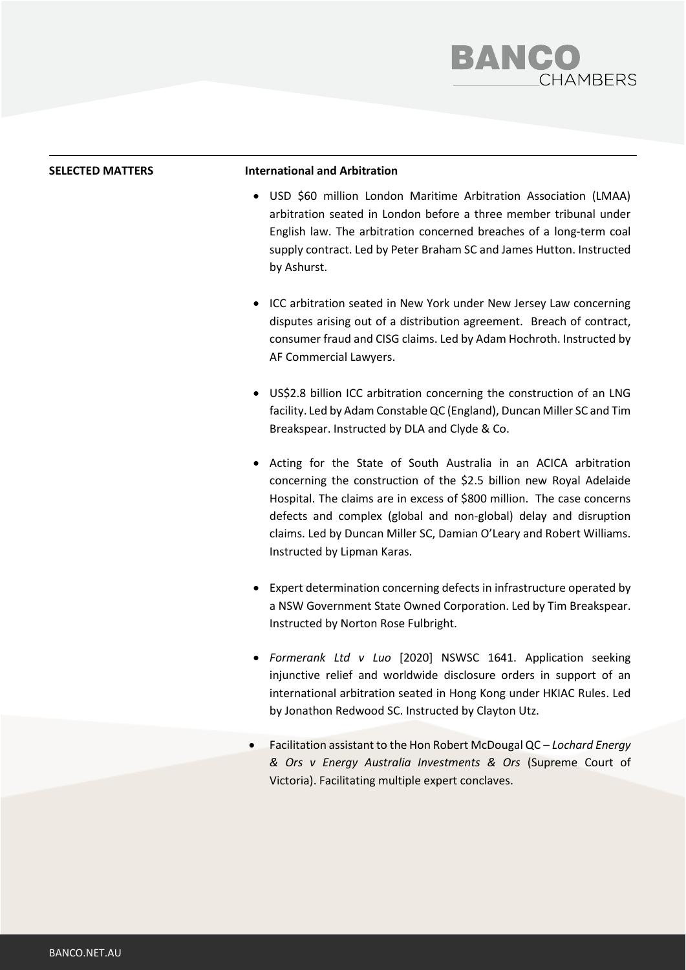

### **SELECTED MATTERS International and Arbitration**

- USD \$60 million London Maritime Arbitration Association (LMAA) arbitration seated in London before a three member tribunal under English law. The arbitration concerned breaches of a long-term coal supply contract. Led by Peter Braham SC and James Hutton. Instructed by Ashurst.
- ICC arbitration seated in New York under New Jersey Law concerning disputes arising out of a distribution agreement. Breach of contract, consumer fraud and CISG claims. Led by Adam Hochroth. Instructed by AF Commercial Lawyers.
- US\$2.8 billion ICC arbitration concerning the construction of an LNG facility. Led by Adam Constable QC (England), Duncan Miller SC and Tim Breakspear. Instructed by DLA and Clyde & Co.
- Acting for the State of South Australia in an ACICA arbitration concerning the construction of the \$2.5 billion new Royal Adelaide Hospital. The claims are in excess of \$800 million. The case concerns defects and complex (global and non-global) delay and disruption claims. Led by Duncan Miller SC, Damian O'Leary and Robert Williams. Instructed by Lipman Karas.
- Expert determination concerning defects in infrastructure operated by a NSW Government State Owned Corporation. Led by Tim Breakspear. Instructed by Norton Rose Fulbright.
- *Formerank Ltd v Luo* [2020] NSWSC 1641. Application seeking injunctive relief and worldwide disclosure orders in support of an international arbitration seated in Hong Kong under HKIAC Rules. Led by Jonathon Redwood SC. Instructed by Clayton Utz.
- Facilitation assistant to the Hon Robert McDougal QC *Lochard Energy & Ors v Energy Australia Investments & Ors* (Supreme Court of Victoria). Facilitating multiple expert conclaves.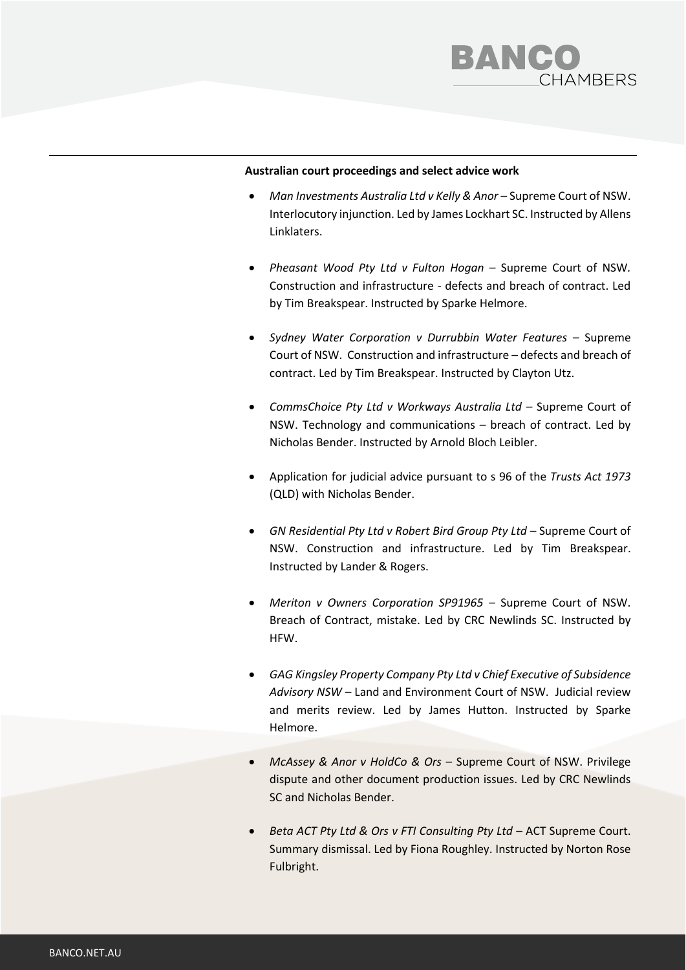

## **Australian court proceedings and select advice work**

- *Man Investments Australia Ltd v Kelly & Anor –* Supreme Court of NSW. Interlocutory injunction. Led by James Lockhart SC. Instructed by Allens Linklaters.
- *Pheasant Wood Pty Ltd v Fulton Hogan* Supreme Court of NSW*.*  Construction and infrastructure - defects and breach of contract. Led by Tim Breakspear. Instructed by Sparke Helmore.
- *Sydney Water Corporation v Durrubbin Water Features –* Supreme Court of NSW. Construction and infrastructure – defects and breach of contract. Led by Tim Breakspear. Instructed by Clayton Utz.
- *CommsChoice Pty Ltd v Workways Australia Ltd –* Supreme Court of NSW. Technology and communications – breach of contract. Led by Nicholas Bender. Instructed by Arnold Bloch Leibler.
- Application for judicial advice pursuant to s 96 of the *Trusts Act 1973* (QLD) with Nicholas Bender.
- *GN Residential Pty Ltd v Robert Bird Group Pty Ltd –* Supreme Court of NSW. Construction and infrastructure. Led by Tim Breakspear. Instructed by Lander & Rogers.
- *Meriton v Owners Corporation SP91965 –* Supreme Court of NSW. Breach of Contract, mistake. Led by CRC Newlinds SC. Instructed by HFW.
- *GAG Kingsley Property Company Pty Ltd v Chief Executive of Subsidence Advisory NSW –* Land and Environment Court of NSW. Judicial review and merits review. Led by James Hutton. Instructed by Sparke Helmore.
- *McAssey & Anor v HoldCo & Ors* Supreme Court of NSW. Privilege dispute and other document production issues. Led by CRC Newlinds SC and Nicholas Bender.
- *Beta ACT Pty Ltd & Ors v FTI Consulting Pty Ltd* ACT Supreme Court. Summary dismissal. Led by Fiona Roughley. Instructed by Norton Rose Fulbright.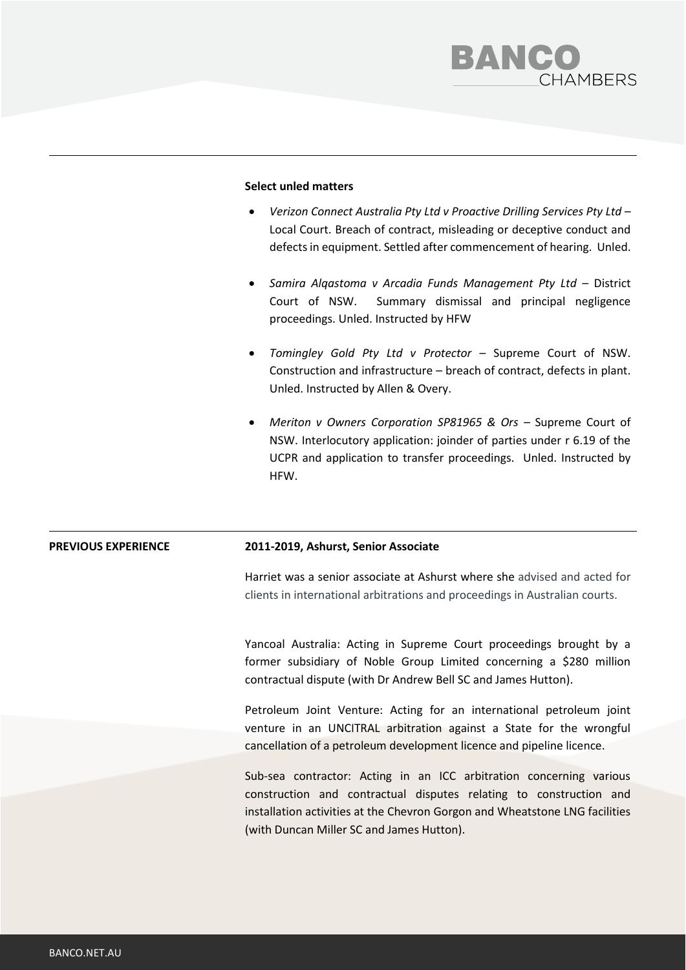

## **Select unled matters**

- *Verizon Connect Australia Pty Ltd v Proactive Drilling Services Pty Ltd –* Local Court. Breach of contract, misleading or deceptive conduct and defects in equipment. Settled after commencement of hearing. Unled.
- Samira Alqastoma v Arcadia Funds Management Pty Ltd District Court of NSW. Summary dismissal and principal negligence proceedings. Unled. Instructed by HFW
- *Tomingley Gold Pty Ltd v Protector*  Supreme Court of NSW. Construction and infrastructure – breach of contract, defects in plant. Unled. Instructed by Allen & Overy.
- *Meriton v Owners Corporation SP81965 & Ors Supreme Court of* NSW. Interlocutory application: joinder of parties under r 6.19 of the UCPR and application to transfer proceedings. Unled. Instructed by HFW.

### **PREVIOUS EXPERIENCE 2011-2019, Ashurst, Senior Associate**

Harriet was a senior associate at Ashurst where she advised and acted for clients in international arbitrations and proceedings in Australian courts.

Yancoal Australia: Acting in Supreme Court proceedings brought by a former subsidiary of Noble Group Limited concerning a \$280 million contractual dispute (with Dr Andrew Bell SC and James Hutton).

Petroleum Joint Venture: Acting for an international petroleum joint venture in an UNCITRAL arbitration against a State for the wrongful cancellation of a petroleum development licence and pipeline licence.

Sub-sea contractor: Acting in an ICC arbitration concerning various construction and contractual disputes relating to construction and installation activities at the Chevron Gorgon and Wheatstone LNG facilities (with Duncan Miller SC and James Hutton).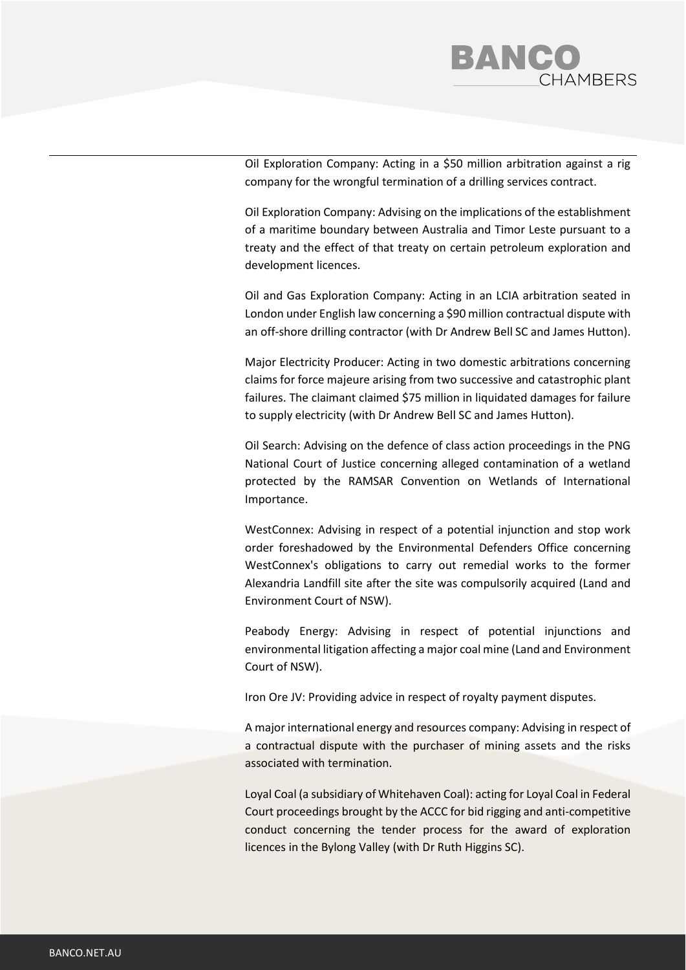

Oil Exploration Company: Acting in a \$50 million arbitration against a rig company for the wrongful termination of a drilling services contract.

Oil Exploration Company: Advising on the implications of the establishment of a maritime boundary between Australia and Timor Leste pursuant to a treaty and the effect of that treaty on certain petroleum exploration and development licences.

Oil and Gas Exploration Company: Acting in an LCIA arbitration seated in London under English law concerning a \$90 million contractual dispute with an off-shore drilling contractor (with Dr Andrew Bell SC and James Hutton).

Major Electricity Producer: Acting in two domestic arbitrations concerning claims for force majeure arising from two successive and catastrophic plant failures. The claimant claimed \$75 million in liquidated damages for failure to supply electricity (with Dr Andrew Bell SC and James Hutton).

Oil Search: Advising on the defence of class action proceedings in the PNG National Court of Justice concerning alleged contamination of a wetland protected by the RAMSAR Convention on Wetlands of International Importance.

WestConnex: Advising in respect of a potential injunction and stop work order foreshadowed by the Environmental Defenders Office concerning WestConnex's obligations to carry out remedial works to the former Alexandria Landfill site after the site was compulsorily acquired (Land and Environment Court of NSW).

Peabody Energy: Advising in respect of potential injunctions and environmental litigation affecting a major coal mine (Land and Environment Court of NSW).

Iron Ore JV: Providing advice in respect of royalty payment disputes.

A major international energy and resources company: Advising in respect of a contractual dispute with the purchaser of mining assets and the risks associated with termination.

Loyal Coal (a subsidiary of Whitehaven Coal): acting for Loyal Coal in Federal Court proceedings brought by the ACCC for bid rigging and anti-competitive conduct concerning the tender process for the award of exploration licences in the Bylong Valley (with Dr Ruth Higgins SC).